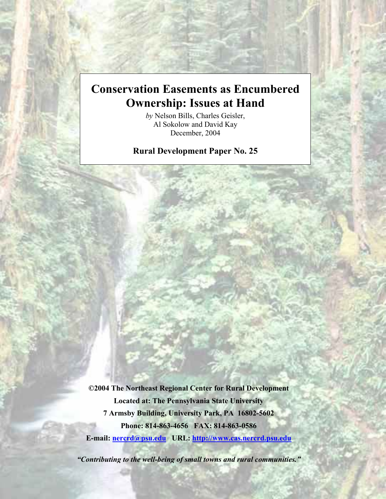# **Conservation Easements as Encumbered Ownership: Issues at Hand**

*by* Nelson Bills, Charles Geisler, Al Sokolow and David Kay December, 2004

**Rural Development Paper No. 25** 

**©2004 The Northeast Regional Center for Rural Development Located at: The Pennsylvania State University 7 Armsby Building, University Park, PA 16802-5602 Phone: 814-863-4656 FAX: 814-863-0586 E-mail: [nercrd@psu.edu](mailto:nercrd@psu.edu) URL: <http://www.cas.nercrd.psu.edu>**

*"Contributing to the well-being of small towns and rural communities."*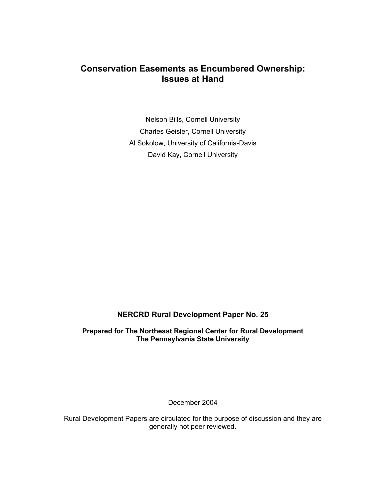## **Conservation Easements as Encumbered Ownership: Issues at Hand**

Nelson Bills, Cornell University Charles Geisler, Cornell University Al Sokolow, University of California-Davis David Kay, Cornell University

### **NERCRD Rural Development Paper No. 25**

**Prepared for The Northeast Regional Center for Rural Development The Pennsylvania State University** 

December 2004

Rural Development Papers are circulated for the purpose of discussion and they are generally not peer reviewed.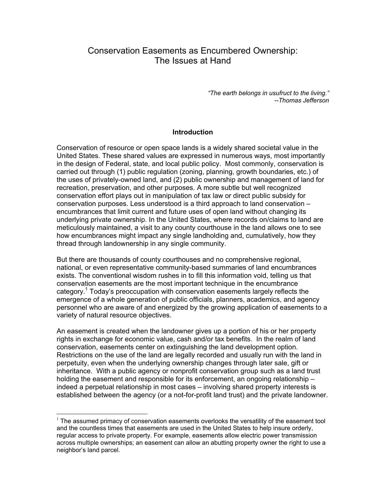## Conservation Easements as Encumbered Ownership: The Issues at Hand

*"The earth belongs in usufruct to the living." --Thomas Jefferson* 

#### **Introduction**

Conservation of resource or open space lands is a widely shared societal value in the United States. These shared values are expressed in numerous ways, most importantly in the design of Federal, state, and local public policy. Most commonly, conservation is carried out through (1) public regulation (zoning, planning, growth boundaries, etc.) of the uses of privately-owned land, and (2) public ownership and management of land for recreation, preservation, and other purposes. A more subtle but well recognized conservation effort plays out in manipulation of tax law or direct public subsidy for conservation purposes. Less understood is a third approach to land conservation – encumbrances that limit current and future uses of open land without changing its underlying private ownership. In the United States, where records on/claims to land are meticulously maintained, a visit to any county courthouse in the land allows one to see how encumbrances might impact any single landholding and, cumulatively, how they thread through landownership in any single community.

But there are thousands of county courthouses and no comprehensive regional, national, or even representative community-based summaries of land encumbrances exists. The conventional wisdom rushes in to fill this information void, telling us that conservation easements are the most important technique in the encumbrance category.<sup>1</sup> Today's preoccupation with conservation easements largely reflects the emergence of a whole generation of public officials, planners, academics, and agency personnel who are aware of and energized by the growing application of easements to a variety of natural resource objectives.

An easement is created when the landowner gives up a portion of his or her property rights in exchange for economic value, cash and/or tax benefits. In the realm of land conservation, easements center on extinguishing the land development option. Restrictions on the use of the land are legally recorded and usually run with the land in perpetuity, even when the underlying ownership changes through later sale, gift or inheritance. With a public agency or nonprofit conservation group such as a land trust holding the easement and responsible for its enforcement, an ongoing relationship – indeed a perpetual relationship in most cases – involving shared property interests is established between the agency (or a not-for-profit land trust) and the private landowner.

 $\overline{a}$ 

 $1$  The assumed primacy of conservation easements overlooks the versatility of the easement tool and the countless times that easements are used in the United States to help insure orderly, regular access to private property. For example, easements allow electric power transmission across multiple ownerships; an easement can allow an abutting property owner the right to use a neighbor's land parcel.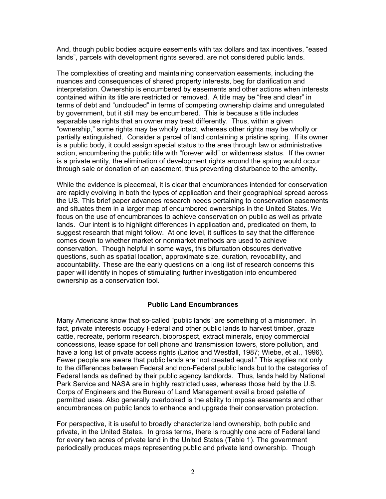And, though public bodies acquire easements with tax dollars and tax incentives, "eased lands", parcels with development rights severed, are not considered public lands.

The complexities of creating and maintaining conservation easements, including the nuances and consequences of shared property interests, beg for clarification and interpretation. Ownership is encumbered by easements and other actions when interests contained within its title are restricted or removed. A title may be "free and clear" in terms of debt and "unclouded" in terms of competing ownership claims and unregulated by government, but it still may be encumbered. This is because a title includes separable use rights that an owner may treat differently. Thus, within a given "ownership," some rights may be wholly intact, whereas other rights may be wholly or partially extinguished. Consider a parcel of land containing a pristine spring. If its owner is a public body, it could assign special status to the area through law or administrative action, encumbering the public title with "forever wild" or wilderness status. If the owner is a private entity, the elimination of development rights around the spring would occur through sale or donation of an easement, thus preventing disturbance to the amenity.

While the evidence is piecemeal, it is clear that encumbrances intended for conservation are rapidly evolving in both the types of application and their geographical spread across the US. This brief paper advances research needs pertaining to conservation easements and situates them in a larger map of encumbered ownerships in the United States. We focus on the use of encumbrances to achieve conservation on public as well as private lands. Our intent is to highlight differences in application and, predicated on them, to suggest research that might follow. At one level, it suffices to say that the difference comes down to whether market or nonmarket methods are used to achieve conservation. Though helpful in some ways, this bifurcation obscures derivative questions, such as spatial location, approximate size, duration, revocability, and accountability. These are the early questions on a long list of research concerns this paper will identify in hopes of stimulating further investigation into encumbered ownership as a conservation tool.

#### **Public Land Encumbrances**

Many Americans know that so-called "public lands" are something of a misnomer. In fact, private interests occupy Federal and other public lands to harvest timber, graze cattle, recreate, perform research, bioprospect, extract minerals, enjoy commercial concessions, lease space for cell phone and transmission towers, store pollution, and have a long list of private access rights (Laitos and Westfall, 1987; Wiebe, et al., 1996). Fewer people are aware that public lands are "not created equal." This applies not only to the differences between Federal and non-Federal public lands but to the categories of Federal lands as defined by their public agency landlords. Thus, lands held by National Park Service and NASA are in highly restricted uses, whereas those held by the U.S. Corps of Engineers and the Bureau of Land Management avail a broad palette of permitted uses. Also generally overlooked is the ability to impose easements and other encumbrances on public lands to enhance and upgrade their conservation protection.

For perspective, it is useful to broadly characterize land ownership, both public and private, in the United States. In gross terms, there is roughly one acre of Federal land for every two acres of private land in the United States (Table 1). The government periodically produces maps representing public and private land ownership. Though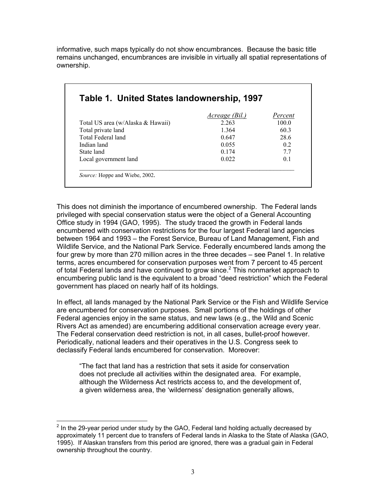informative, such maps typically do not show encumbrances. Because the basic title remains unchanged, encumbrances are invisible in virtually all spatial representations of ownership.

|                                   | <u>Acreage (Bil.)</u> | Percent        |
|-----------------------------------|-----------------------|----------------|
| Total US area (w/Alaska & Hawaii) | 2 2 6 3               | 100.0          |
| Total private land                | 1.364                 | 603            |
| Total Federal land                | 0.647                 | 28.6           |
| Indian land                       | 0.055                 | 0 <sub>2</sub> |
| State land                        | 0 1 7 4               | 77             |
| Local government land             | 0 0 2 2               | 0 <sub>1</sub> |

This does not diminish the importance of encumbered ownership. The Federal lands privileged with special conservation status were the object of a General Accounting Office study in 1994 (GAO, 1995). The study traced the growth in Federal lands encumbered with conservation restrictions for the four largest Federal land agencies between 1964 and 1993 – the Forest Service, Bureau of Land Management, Fish and Wildlife Service, and the National Park Service. Federally encumbered lands among the four grew by more than 270 million acres in the three decades – see Panel 1. In relative terms, acres encumbered for conservation purposes went from 7 percent to 45 percent of total Federal lands and have continued to grow since. $2$  This nonmarket approach to encumbering public land is the equivalent to a broad "deed restriction" which the Federal government has placed on nearly half of its holdings.

In effect, all lands managed by the National Park Service or the Fish and Wildlife Service are encumbered for conservation purposes. Small portions of the holdings of other Federal agencies enjoy in the same status, and new laws (e.g., the Wild and Scenic Rivers Act as amended) are encumbering additional conservation acreage every year. The Federal conservation deed restriction is not, in all cases, bullet-proof however. Periodically, national leaders and their operatives in the U.S. Congress seek to declassify Federal lands encumbered for conservation. Moreover:

"The fact that land has a restriction that sets it aside for conservation does not preclude all activities within the designated area. For example, although the Wilderness Act restricts access to, and the development of, a given wilderness area, the 'wilderness' designation generally allows,

 2 In the 29-year period under study by the GAO, Federal land holding actually decreased by approximately 11 percent due to transfers of Federal lands in Alaska to the State of Alaska (GAO, 1995). If Alaskan transfers from this period are ignored, there was a gradual gain in Federal ownership throughout the country.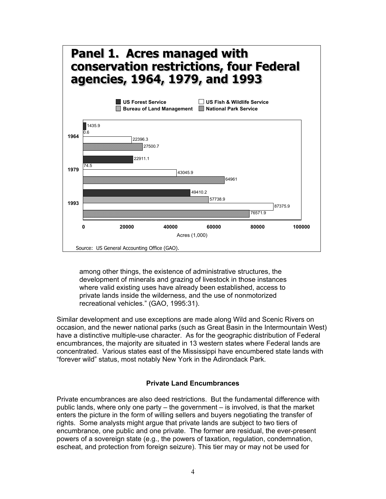

among other things, the existence of administrative structures, the development of minerals and grazing of livestock in those instances where valid existing uses have already been established, access to private lands inside the wilderness, and the use of nonmotorized recreational vehicles." (GAO, 1995:31).

Similar development and use exceptions are made along Wild and Scenic Rivers on occasion, and the newer national parks (such as Great Basin in the Intermountain West) have a distinctive multiple-use character. As for the geographic distribution of Federal encumbrances, the majority are situated in 13 western states where Federal lands are concentrated. Various states east of the Mississippi have encumbered state lands with "forever wild" status, most notably New York in the Adirondack Park.

#### **Private Land Encumbrances**

Private encumbrances are also deed restrictions. But the fundamental difference with public lands, where only one party – the government – is involved, is that the market enters the picture in the form of willing sellers and buyers negotiating the transfer of rights. Some analysts might argue that private lands are subject to two tiers of encumbrance, one public and one private. The former are residual, the ever-present powers of a sovereign state (e.g., the powers of taxation, regulation, condemnation, escheat, and protection from foreign seizure). This tier may or may not be used for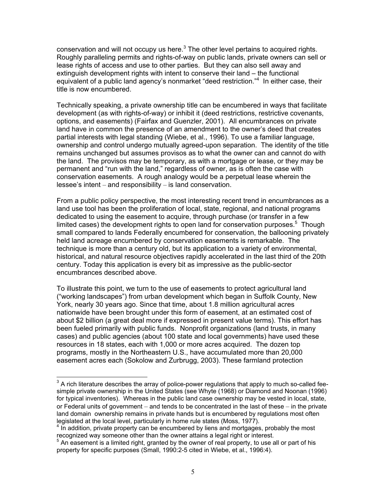conservation and will not occupy us here. $3$  The other level pertains to acquired rights. Roughly paralleling permits and rights-of-way on public lands, private owners can sell or lease rights of access and use to other parties. But they can also sell away and extinguish development rights with intent to conserve their land – the functional equivalent of a public land agency's nonmarket "deed restriction."<sup>4</sup> In either case, their title is now encumbered.

Technically speaking, a private ownership title can be encumbered in ways that facilitate development (as with rights-of-way) or inhibit it (deed restrictions, restrictive covenants, options, and easements) (Fairfax and Guenzler, 2001). All encumbrances on private land have in common the presence of an amendment to the owner's deed that creates partial interests with legal standing (Wiebe, et al., 1996). To use a familiar language, ownership and control undergo mutually agreed-upon separation. The identity of the title remains unchanged but assumes provisos as to what the owner can and cannot do with the land. The provisos may be temporary, as with a mortgage or lease, or they may be permanent and "run with the land," regardless of owner, as is often the case with conservation easements. A rough analogy would be a perpetual lease wherein the lessee's intent – and responsibility – is land conservation.

From a public policy perspective, the most interesting recent trend in encumbrances as a land use tool has been the proliferation of local, state, regional, and national programs dedicated to using the easement to acquire, through purchase (or transfer in a few limited cases) the development rights to open land for conservation purposes. $5$  Though small compared to lands Federally encumbered for conservation, the ballooning privately held land acreage encumbered by conservation easements is remarkable. The technique is more than a century old, but its application to a variety of environmental, historical, and natural resource objectives rapidly accelerated in the last third of the 20th century. Today this application is every bit as impressive as the public-sector encumbrances described above.

To illustrate this point, we turn to the use of easements to protect agricultural land ("working landscapes") from urban development which began in Suffolk County, New York, nearly 30 years ago. Since that time, about 1.8 million agricultural acres nationwide have been brought under this form of easement, at an estimated cost of about \$2 billion (a great deal more if expressed in present value terms). This effort has been fueled primarily with public funds. Nonprofit organizations (land trusts, in many cases) and public agencies (about 100 state and local governments) have used these resources in 18 states, each with 1,000 or more acres acquired. The dozen top programs, mostly in the Northeastern U.S., have accumulated more than 20,000 easement acres each (Sokolow and Zurbrugg, 2003). These farmland protection

 $\overline{a}$  $3$  A rich literature describes the array of police-power regulations that apply to much so-called feesimple private ownership in the United States (see Whyte (1968) or Diamond and Noonan (1996) for typical inventories). Whereas in the public land case ownership may be vested in local, state, or Federal units of government – and tends to be concentrated in the last of these – in the private land domain ownership remains in private hands but is encumbered by regulations most often legislated at the local level, particularly in home rule states (Moss, 1977).

 $4\,\text{In}$  addition, private property can be encumbered by liens and mortgages, probably the most recognized way someone other than the owner attains a legal right or interest.

 $5$  An easement is a limited right, granted by the owner of real property, to use all or part of his property for specific purposes (Small, 1990:2-5 cited in Wiebe, et al., 1996:4).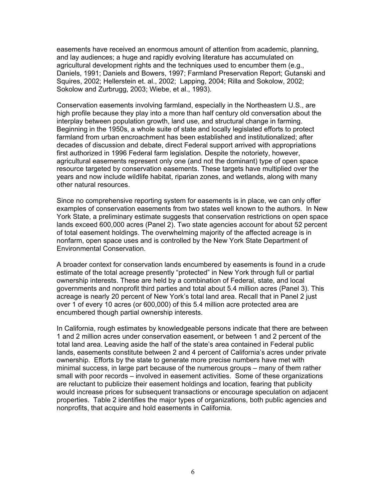easements have received an enormous amount of attention from academic, planning, and lay audiences; a huge and rapidly evolving literature has accumulated on agricultural development rights and the techniques used to encumber them (e.g., Daniels, 1991; Daniels and Bowers, 1997; Farmland Preservation Report; Gutanski and Squires, 2002; Hellerstein et. al., 2002; Lapping, 2004; Rilla and Sokolow, 2002; Sokolow and Zurbrugg, 2003; Wiebe, et al., 1993).

Conservation easements involving farmland, especially in the Northeastern U.S., are high profile because they play into a more than half century old conversation about the interplay between population growth, land use, and structural change in farming. Beginning in the 1950s, a whole suite of state and locally legislated efforts to protect farmland from urban encroachment has been established and institutionalized; after decades of discussion and debate, direct Federal support arrived with appropriations first authorized in 1996 Federal farm legislation. Despite the notoriety, however, agricultural easements represent only one (and not the dominant) type of open space resource targeted by conservation easements. These targets have multiplied over the years and now include wildlife habitat, riparian zones, and wetlands, along with many other natural resources.

Since no comprehensive reporting system for easements is in place, we can only offer examples of conservation easements from two states well known to the authors. In New York State, a preliminary estimate suggests that conservation restrictions on open space lands exceed 600,000 acres (Panel 2). Two state agencies account for about 52 percent of total easement holdings. The overwhelming majority of the affected acreage is in nonfarm, open space uses and is controlled by the New York State Department of Environmental Conservation.

A broader context for conservation lands encumbered by easements is found in a crude estimate of the total acreage presently "protected" in New York through full or partial ownership interests. These are held by a combination of Federal, state, and local governments and nonprofit third parties and total about 5.4 million acres (Panel 3). This acreage is nearly 20 percent of New York's total land area. Recall that in Panel 2 just over 1 of every 10 acres (or 600,000) of this 5.4 million acre protected area are encumbered though partial ownership interests.

In California, rough estimates by knowledgeable persons indicate that there are between 1 and 2 million acres under conservation easement, or between 1 and 2 percent of the total land area. Leaving aside the half of the state's area contained in Federal public lands, easements constitute between 2 and 4 percent of California's acres under private ownership. Efforts by the state to generate more precise numbers have met with minimal success, in large part because of the numerous groups – many of them rather small with poor records – involved in easement activities. Some of these organizations are reluctant to publicize their easement holdings and location, fearing that publicity would increase prices for subsequent transactions or encourage speculation on adjacent properties. Table 2 identifies the major types of organizations, both public agencies and nonprofits, that acquire and hold easements in California.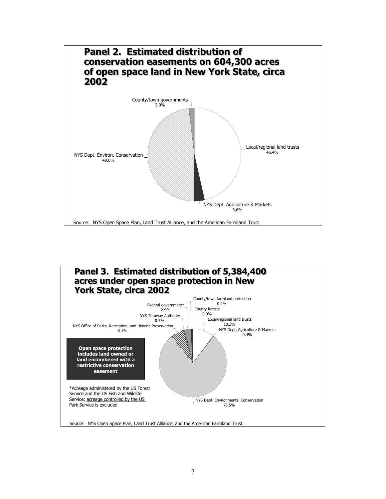

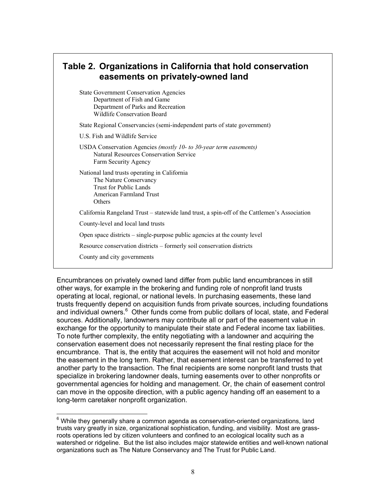Encumbrances on privately owned land differ from public land encumbrances in still other ways, for example in the brokering and funding role of nonprofit land trusts operating at local, regional, or national levels. In purchasing easements, these land trusts frequently depend on acquisition funds from private sources, including foundations and individual owners.<sup>6</sup> Other funds come from public dollars of local, state, and Federal sources. Additionally, landowners may contribute all or part of the easement value in exchange for the opportunity to manipulate their state and Federal income tax liabilities. To note further complexity, the entity negotiating with a landowner and acquiring the conservation easement does not necessarily represent the final resting place for the encumbrance. That is, the entity that acquires the easement will not hold and monitor the easement in the long term. Rather, that easement interest can be transferred to yet another party to the transaction. The final recipients are some nonprofit land trusts that specialize in brokering landowner deals, turning easements over to other nonprofits or governmental agencies for holding and management. Or, the chain of easement control can move in the opposite direction, with a public agency handing off an easement to a long-term caretaker nonprofit organization.

 6 While they generally share a common agenda as conservation-oriented organizations, land trusts vary greatly in size, organizational sophistication, funding, and visibility. Most are grassroots operations led by citizen volunteers and confined to an ecological locality such as a watershed or ridgeline. But the list also includes major statewide entities and well-known national organizations such as The Nature Conservancy and The Trust for Public Land.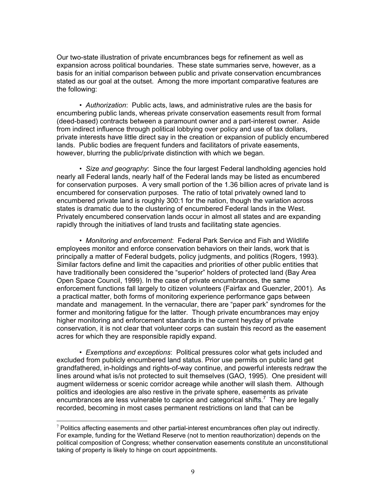Our two-state illustration of private encumbrances begs for refinement as well as expansion across political boundaries. These state summaries serve, however, as a basis for an initial comparison between public and private conservation encumbrances stated as our goal at the outset. Among the more important comparative features are the following:

• *Authorization*: Public acts, laws, and administrative rules are the basis for encumbering public lands, whereas private conservation easements result from formal (deed-based) contracts between a paramount owner and a part-interest owner. Aside from indirect influence through political lobbying over policy and use of tax dollars, private interests have little direct say in the creation or expansion of publicly encumbered lands. Public bodies are frequent funders and facilitators of private easements, however, blurring the public/private distinction with which we began.

• *Size and geography*: Since the four largest Federal landholding agencies hold nearly all Federal lands, nearly half of the Federal lands may be listed as encumbered for conservation purposes. A very small portion of the 1.36 billion acres of private land is encumbered for conservation purposes. The ratio of total privately owned land to encumbered private land is roughly 300:1 for the nation, though the variation across states is dramatic due to the clustering of encumbered Federal lands in the West. Privately encumbered conservation lands occur in almost all states and are expanding rapidly through the initiatives of land trusts and facilitating state agencies.

• *Monitoring and enforcement*: Federal Park Service and Fish and Wildlife employees monitor and enforce conservation behaviors on their lands, work that is principally a matter of Federal budgets, policy judgments, and politics (Rogers, 1993). Similar factors define and limit the capacities and priorities of other public entities that have traditionally been considered the "superior" holders of protected land (Bay Area Open Space Council, 1999). In the case of private encumbrances, the same enforcement functions fall largely to citizen volunteers (Fairfax and Guenzler, 2001). As a practical matter, both forms of monitoring experience performance gaps between mandate and management. In the vernacular, there are "paper park" syndromes for the former and monitoring fatigue for the latter. Though private encumbrances may enjoy higher monitoring and enforcement standards in the current heyday of private conservation, it is not clear that volunteer corps can sustain this record as the easement acres for which they are responsible rapidly expand.

• *Exemptions and exceptions*: Political pressures color what gets included and excluded from publicly encumbered land status. Prior use permits on public land get grandfathered, in-holdings and rights-of-way continue, and powerful interests redraw the lines around what is/is not protected to suit themselves (GAO, 1995). One president will augment wilderness or scenic corridor acreage while another will slash them. Although politics and ideologies are also restive in the private sphere, easements as private encumbrances are less vulnerable to caprice and categorical shifts.<sup>7</sup> They are legally recorded, becoming in most cases permanent restrictions on land that can be

 $\overline{a}$ 

 $7$  Politics affecting easements and other partial-interest encumbrances often play out indirectly. For example, funding for the Wetland Reserve (not to mention reauthorization) depends on the political composition of Congress; whether conservation easements constitute an unconstitutional taking of property is likely to hinge on court appointments.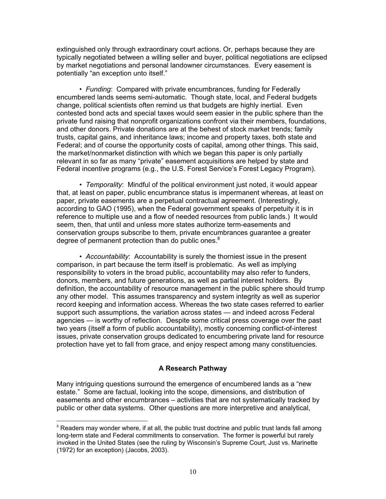extinguished only through extraordinary court actions. Or, perhaps because they are typically negotiated between a willing seller and buyer, political negotiations are eclipsed by market negotiations and personal landowner circumstances. Every easement is potentially "an exception unto itself."

• *Funding*: Compared with private encumbrances, funding for Federally encumbered lands seems semi-automatic. Though state, local, and Federal budgets change, political scientists often remind us that budgets are highly inertial. Even contested bond acts and special taxes would seem easier in the public sphere than the private fund raising that nonprofit organizations confront via their members, foundations, and other donors. Private donations are at the behest of stock market trends; family trusts, capital gains, and inheritance laws; income and property taxes, both state and Federal; and of course the opportunity costs of capital, among other things. This said, the market/nonmarket distinction with which we began this paper is only partially relevant in so far as many "private" easement acquisitions are helped by state and Federal incentive programs (e.g., the U.S. Forest Service's Forest Legacy Program).

• *Temporality*: Mindful of the political environment just noted, it would appear that, at least on paper, public encumbrance status is impermanent whereas, at least on paper, private easements are a perpetual contractual agreement. (Interestingly, according to GAO (1995), when the Federal government speaks of perpetuity it is in reference to multiple use and a flow of needed resources from public lands.) It would seem, then, that until and unless more states authorize term-easements and conservation groups subscribe to them, private encumbrances guarantee a greater degree of permanent protection than do public ones. $8<sup>8</sup>$ 

• *Accountability*: Accountability is surely the thorniest issue in the present comparison, in part because the term itself is problematic. As well as implying responsibility to voters in the broad public, accountability may also refer to funders, donors, members, and future generations, as well as partial interest holders. By definition, the accountability of resource management in the public sphere should trump any other model. This assumes transparency and system integrity as well as superior record keeping and information access. Whereas the two state cases referred to earlier support such assumptions, the variation across states — and indeed across Federal agencies — is worthy of reflection. Despite some critical press coverage over the past two years (itself a form of public accountability), mostly concerning conflict-of-interest issues, private conservation groups dedicated to encumbering private land for resource protection have yet to fall from grace, and enjoy respect among many constituencies.

#### **A Research Pathway**

Many intriguing questions surround the emergence of encumbered lands as a "new estate." Some are factual, looking into the scope, dimensions, and distribution of easements and other encumbrances – activities that are not systematically tracked by public or other data systems. Other questions are more interpretive and analytical,

 $\overline{a}$ 

 $8$  Readers may wonder where, if at all, the public trust doctrine and public trust lands fall among long-term state and Federal commitments to conservation. The former is powerful but rarely invoked in the United States (see the ruling by Wisconsin's Supreme Court, Just vs. Marinette (1972) for an exception) (Jacobs, 2003).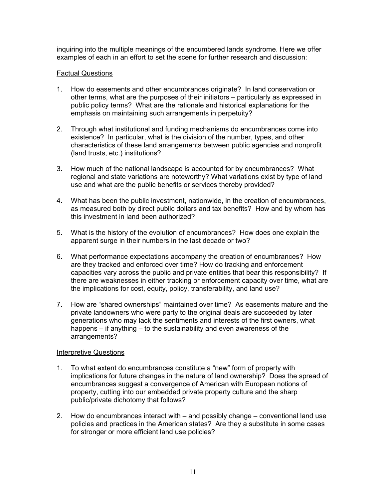inquiring into the multiple meanings of the encumbered lands syndrome. Here we offer examples of each in an effort to set the scene for further research and discussion:

#### Factual Questions

- 1. How do easements and other encumbrances originate? In land conservation or other terms, what are the purposes of their initiators – particularly as expressed in public policy terms? What are the rationale and historical explanations for the emphasis on maintaining such arrangements in perpetuity?
- 2. Through what institutional and funding mechanisms do encumbrances come into existence? In particular, what is the division of the number, types, and other characteristics of these land arrangements between public agencies and nonprofit (land trusts, etc.) institutions?
- 3. How much of the national landscape is accounted for by encumbrances? What regional and state variations are noteworthy? What variations exist by type of land use and what are the public benefits or services thereby provided?
- 4. What has been the public investment, nationwide, in the creation of encumbrances, as measured both by direct public dollars and tax benefits? How and by whom has this investment in land been authorized?
- 5. What is the history of the evolution of encumbrances? How does one explain the apparent surge in their numbers in the last decade or two?
- 6. What performance expectations accompany the creation of encumbrances? How are they tracked and enforced over time? How do tracking and enforcement capacities vary across the public and private entities that bear this responsibility? If there are weaknesses in either tracking or enforcement capacity over time, what are the implications for cost, equity, policy, transferability, and land use?
- 7. How are "shared ownerships" maintained over time? As easements mature and the private landowners who were party to the original deals are succeeded by later generations who may lack the sentiments and interests of the first owners, what happens – if anything – to the sustainability and even awareness of the arrangements?

#### Interpretive Questions

- 1. To what extent do encumbrances constitute a "new" form of property with implications for future changes in the nature of land ownership? Does the spread of encumbrances suggest a convergence of American with European notions of property, cutting into our embedded private property culture and the sharp public/private dichotomy that follows?
- 2. How do encumbrances interact with and possibly change conventional land use policies and practices in the American states? Are they a substitute in some cases for stronger or more efficient land use policies?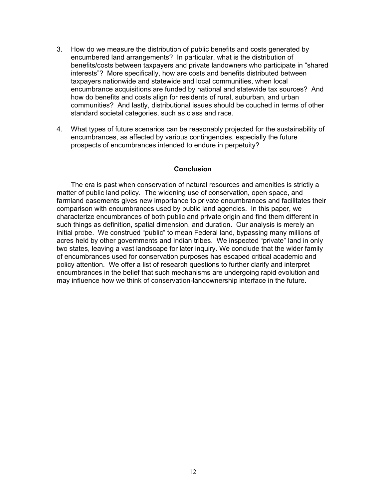- 3. How do we measure the distribution of public benefits and costs generated by encumbered land arrangements? In particular, what is the distribution of benefits/costs between taxpayers and private landowners who participate in "shared interests"? More specifically, how are costs and benefits distributed between taxpayers nationwide and statewide and local communities, when local encumbrance acquisitions are funded by national and statewide tax sources? And how do benefits and costs align for residents of rural, suburban, and urban communities? And lastly, distributional issues should be couched in terms of other standard societal categories, such as class and race.
- 4. What types of future scenarios can be reasonably projected for the sustainability of encumbrances, as affected by various contingencies, especially the future prospects of encumbrances intended to endure in perpetuity?

#### **Conclusion**

 The era is past when conservation of natural resources and amenities is strictly a matter of public land policy. The widening use of conservation, open space, and farmland easements gives new importance to private encumbrances and facilitates their comparison with encumbrances used by public land agencies. In this paper, we characterize encumbrances of both public and private origin and find them different in such things as definition, spatial dimension, and duration. Our analysis is merely an initial probe. We construed "public" to mean Federal land, bypassing many millions of acres held by other governments and Indian tribes. We inspected "private" land in only two states, leaving a vast landscape for later inquiry. We conclude that the wider family of encumbrances used for conservation purposes has escaped critical academic and policy attention. We offer a list of research questions to further clarify and interpret encumbrances in the belief that such mechanisms are undergoing rapid evolution and may influence how we think of conservation-landownership interface in the future.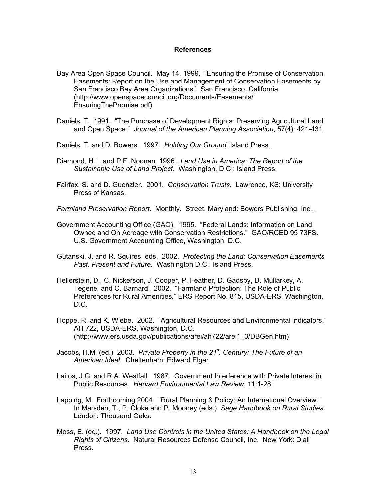#### **References**

- Bay Area Open Space Council. May 14, 1999. "Ensuring the Promise of Conservation Easements: Report on the Use and Management of Conservation Easements by San Francisco Bay Area Organizations.' San Francisco, California. [\(http://www.openspacecouncil.org/Documents/Easements/](http://www.openspacecouncil.org/Documents/Easements/EnsuringThePromise.pdf)  EnsuringThePromise.pdf)
- Daniels, T. 1991. "The Purchase of Development Rights: Preserving Agricultural Land and Open Space." *Journal of the American Planning Association*, 57(4): 421-431.
- Daniels, T. and D. Bowers. 1997. *Holding Our Ground*. Island Press.
- Diamond, H.L. and P.F. Noonan. 1996. *Land Use in America: The Report of the Sustainable Use of Land Project*. Washington, D.C.: Island Press.
- Fairfax, S. and D. Guenzler. 2001. *Conservation Trusts*. Lawrence, KS: University Press of Kansas.
- *Farmland Preservation Report*. Monthly. Street, Maryland: Bowers Publishing, Inc.,.
- Government Accounting Office (GAO). 1995. "Federal Lands: Information on Land Owned and On Acreage with Conservation Restrictions." GAO/RCED 95 73FS. U.S. Government Accounting Office, Washington, D.C.
- Gutanski, J. and R. Squires, eds. 2002. *Protecting the Land: Conservation Easements Past, Present and Future*. Washington D.C.: Island Press.
- Hellerstein, D., C. Nickerson, J. Cooper, P. Feather, D. Gadsby, D. Mullarkey, A. Tegene, and C. Barnard. 2002. "Farmland Protection: The Role of Public Preferences for Rural Amenities*.*" ERS Report No. 815, USDA-ERS. Washington, D.C.
- Hoppe, R. and K. Wiebe. 2002. "Agricultural Resources and Environmental Indicators." AH 722, USDA-ERS, Washington, D.C. ([http://www.ers.usda.gov/publications/arei/ah722/arei1\\_3/DBGen.htm\)](http://www.ers.usda.gov/publications/arei/ah722/arei1_3/DBGen.htm)
- Jacobs, H.M. (ed.) 2003. *Private Property in the 21<sup>s</sup> . Century: The Future of an American Ideal*. Cheltenham: Edward Elgar.
- Laitos, J.G. and R.A. Westfall. 1987. Government Interference with Private Interest in Public Resources. *Harvard Environmental Law Review*, 11:1-28.
- Lapping, M. Forthcoming 2004. "Rural Planning & Policy: An International Overview." In Marsden, T., P. Cloke and P. Mooney (eds.), *Sage Handbook on Rural Studies*. London: Thousand Oaks.
- Moss, E. (ed.). 1997. *Land Use Controls in the United States: A Handbook on the Legal Rights of Citizens*. Natural Resources Defense Council, Inc. New York: Diall Press.